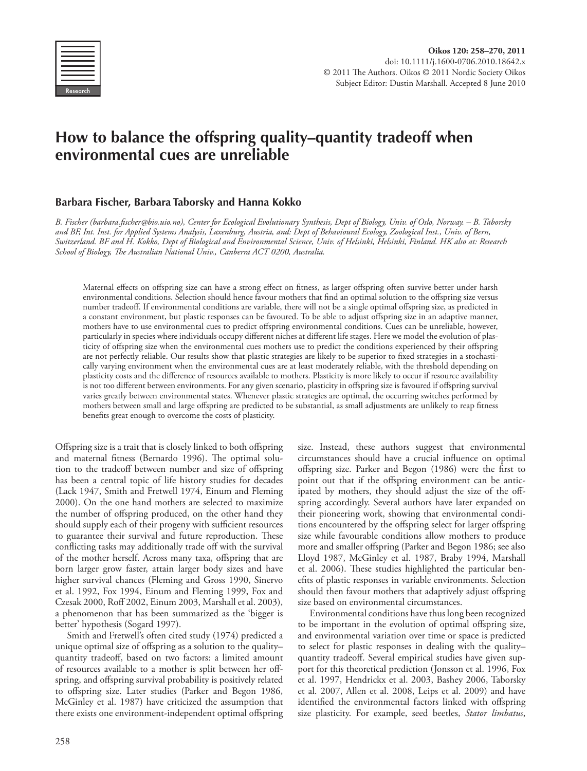| Research |
|----------|

# **How to balance the offspring quality–quantity tradeoff when environmental cues are unreliable**

## **Barbara Fischer, Barbara Taborsky and Hanna Kokko**

*B. Fischer (barbara.fischer@bio.uio.no), Center for Ecological Evolutionary Synthesis, Dept of Biology, Univ. of Oslo, Norway. – B. Taborsky and BF, Int. Inst. for Applied Systems Analysis, Laxenburg, Austria, and: Dept of Behavioural Ecology, Zoological Inst., Univ. of Bern, Switzerland. BF and H. Kokko, Dept of Biological and Environmental Science, Univ. of Helsinki, Helsinki, Finland. HK also at: Research School of Biology, The Australian National Univ., Canberra ACT 0200, Australia.*

Maternal effects on offspring size can have a strong effect on fitness, as larger offspring often survive better under harsh environmental conditions. Selection should hence favour mothers that find an optimal solution to the offspring size versus number tradeoff. If environmental conditions are variable, there will not be a single optimal offspring size, as predicted in a constant environment, but plastic responses can be favoured. To be able to adjust offspring size in an adaptive manner, mothers have to use environmental cues to predict offspring environmental conditions. Cues can be unreliable, however, particularly in species where individuals occupy different niches at different life stages. Here we model the evolution of plasticity of offspring size when the environmental cues mothers use to predict the conditions experienced by their offspring are not perfectly reliable. Our results show that plastic strategies are likely to be superior to fixed strategies in a stochastically varying environment when the environmental cues are at least moderately reliable, with the threshold depending on plasticity costs and the difference of resources available to mothers. Plasticity is more likely to occur if resource availability is not too different between environments. For any given scenario, plasticity in offspring size is favoured if offspring survival varies greatly between environmental states. Whenever plastic strategies are optimal, the occurring switches performed by mothers between small and large offspring are predicted to be substantial, as small adjustments are unlikely to reap fitness benefits great enough to overcome the costs of plasticity.

Offspring size is a trait that is closely linked to both offspring and maternal fitness (Bernardo 1996). The optimal solution to the tradeoff between number and size of offspring has been a central topic of life history studies for decades (Lack 1947, Smith and Fretwell 1974, Einum and Fleming 2000). On the one hand mothers are selected to maximize the number of offspring produced, on the other hand they should supply each of their progeny with sufficient resources to guarantee their survival and future reproduction. These conflicting tasks may additionally trade off with the survival of the mother herself. Across many taxa, offspring that are born larger grow faster, attain larger body sizes and have higher survival chances (Fleming and Gross 1990, Sinervo et al. 1992, Fox 1994, Einum and Fleming 1999, Fox and Czesak 2000, Roff 2002, Einum 2003, Marshall et al. 2003), a phenomenon that has been summarized as the 'bigger is better' hypothesis (Sogard 1997).

Smith and Fretwell's often cited study (1974) predicted a unique optimal size of offspring as a solution to the quality– quantity tradeoff, based on two factors: a limited amount of resources available to a mother is split between her offspring, and offspring survival probability is positively related to offspring size. Later studies (Parker and Begon 1986, McGinley et al. 1987) have criticized the assumption that there exists one environment-independent optimal offspring size. Instead, these authors suggest that environmental circumstances should have a crucial influence on optimal offspring size. Parker and Begon (1986) were the first to point out that if the offspring environment can be anticipated by mothers, they should adjust the size of the offspring accordingly. Several authors have later expanded on their pioneering work, showing that environmental conditions encountered by the offspring select for larger offspring size while favourable conditions allow mothers to produce more and smaller offspring (Parker and Begon 1986; see also Lloyd 1987, McGinley et al. 1987, Braby 1994, Marshall et al. 2006). These studies highlighted the particular benefits of plastic responses in variable environments. Selection should then favour mothers that adaptively adjust offspring size based on environmental circumstances.

Environmental conditions have thus long been recognized to be important in the evolution of optimal offspring size, and environmental variation over time or space is predicted to select for plastic responses in dealing with the quality– quantity tradeoff. Several empirical studies have given support for this theoretical prediction (Jonsson et al. 1996, Fox et al. 1997, Hendrickx et al. 2003, Bashey 2006, Taborsky et al. 2007, Allen et al. 2008, Leips et al. 2009) and have identified the environmental factors linked with offspring size plasticity. For example, seed beetles, *Stator limbatus*,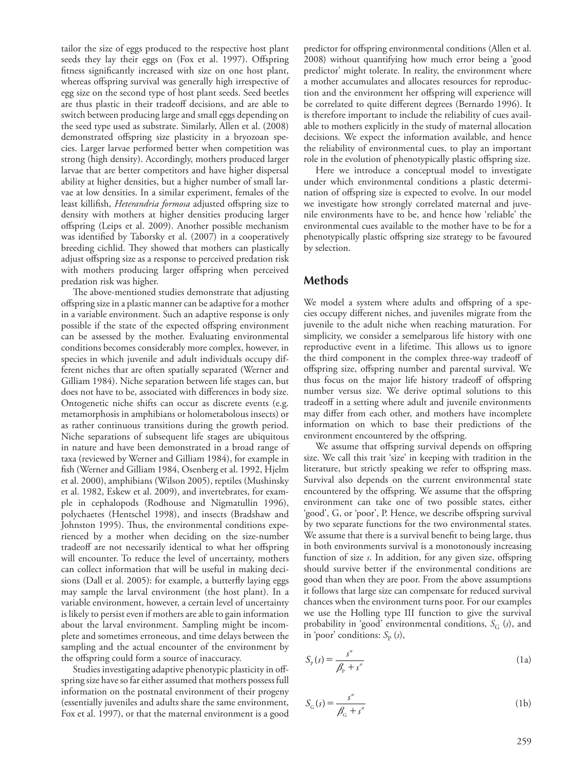tailor the size of eggs produced to the respective host plant seeds they lay their eggs on (Fox et al. 1997). Offspring fitness significantly increased with size on one host plant, whereas offspring survival was generally high irrespective of egg size on the second type of host plant seeds. Seed beetles are thus plastic in their tradeoff decisions, and are able to switch between producing large and small eggs depending on the seed type used as substrate. Similarly, Allen et al. (2008) demonstrated offspring size plasticity in a bryozoan species. Larger larvae performed better when competition was strong (high density). Accordingly, mothers produced larger larvae that are better competitors and have higher dispersal ability at higher densities, but a higher number of small larvae at low densities. In a similar experiment, females of the least killifish, *Heterandria formosa* adjusted offspring size to density with mothers at higher densities producing larger offspring (Leips et al. 2009). Another possible mechanism was identified by Taborsky et al. (2007) in a cooperatively breeding cichlid. They showed that mothers can plastically adjust offspring size as a response to perceived predation risk with mothers producing larger offspring when perceived predation risk was higher.

The above-mentioned studies demonstrate that adjusting offspring size in a plastic manner can be adaptive for a mother in a variable environment. Such an adaptive response is only possible if the state of the expected offspring environment can be assessed by the mother. Evaluating environmental conditions becomes considerably more complex, however, in species in which juvenile and adult individuals occupy different niches that are often spatially separated (Werner and Gilliam 1984). Niche separation between life stages can, but does not have to be, associated with differences in body size. Ontogenetic niche shifts can occur as discrete events (e.g. metamorphosis in amphibians or holometabolous insects) or as rather continuous transitions during the growth period. Niche separations of subsequent life stages are ubiquitous in nature and have been demonstrated in a broad range of taxa (reviewed by Werner and Gilliam 1984), for example in fish (Werner and Gilliam 1984, Osenberg et al. 1992, Hjelm et al. 2000), amphibians (Wilson 2005), reptiles (Mushinsky et al. 1982, Eskew et al. 2009), and invertebrates, for example in cephalopods (Rodhouse and Nigmatullin 1996), polychaetes (Hentschel 1998), and insects (Bradshaw and Johnston 1995). Thus, the environmental conditions experienced by a mother when deciding on the size-number tradeoff are not necessarily identical to what her offspring will encounter. To reduce the level of uncertainty, mothers can collect information that will be useful in making decisions (Dall et al. 2005): for example, a butterfly laying eggs may sample the larval environment (the host plant). In a variable environment, however, a certain level of uncertainty is likely to persist even if mothers are able to gain information about the larval environment. Sampling might be incomplete and sometimes erroneous, and time delays between the sampling and the actual encounter of the environment by the offspring could form a source of inaccuracy.

Studies investigating adaptive phenotypic plasticity in offspring size have so far either assumed that mothers possess full information on the postnatal environment of their progeny (essentially juveniles and adults share the same environment, Fox et al. 1997), or that the maternal environment is a good

predictor for offspring environmental conditions (Allen et al. 2008) without quantifying how much error being a 'good predictor' might tolerate. In reality, the environment where a mother accumulates and allocates resources for reproduction and the environment her offspring will experience will be correlated to quite different degrees (Bernardo 1996). It is therefore important to include the reliability of cues available to mothers explicitly in the study of maternal allocation decisions. We expect the information available, and hence the reliability of environmental cues, to play an important role in the evolution of phenotypically plastic offspring size.

Here we introduce a conceptual model to investigate under which environmental conditions a plastic determination of offspring size is expected to evolve. In our model we investigate how strongly correlated maternal and juvenile environments have to be, and hence how 'reliable' the environmental cues available to the mother have to be for a phenotypically plastic offspring size strategy to be favoured by selection.

## **Methods**

We model a system where adults and offspring of a species occupy different niches, and juveniles migrate from the juvenile to the adult niche when reaching maturation. For simplicity, we consider a semelparous life history with one reproductive event in a lifetime. This allows us to ignore the third component in the complex three-way tradeoff of offspring size, offspring number and parental survival. We thus focus on the major life history tradeoff of offspring number versus size. We derive optimal solutions to this tradeoff in a setting where adult and juvenile environments may differ from each other, and mothers have incomplete information on which to base their predictions of the environment encountered by the offspring.

We assume that offspring survival depends on offspring size. We call this trait 'size' in keeping with tradition in the literature, but strictly speaking we refer to offspring mass. Survival also depends on the current environmental state encountered by the offspring. We assume that the offspring environment can take one of two possible states, either 'good', G, or 'poor', P. Hence, we describe offspring survival by two separate functions for the two environmental states. We assume that there is a survival benefit to being large, thus in both environments survival is a monotonously increasing function of size *s*. In addition, for any given size, offspring should survive better if the environmental conditions are good than when they are poor. From the above assumptions it follows that large size can compensate for reduced survival chances when the environment turns poor. For our examples we use the Holling type III function to give the survival probability in 'good' environmental conditions,  $S_G$  (*s*), and in 'poor' conditions:  $S_p(s)$ ,

$$
S_{\rm p}(s) = \frac{s^a}{\beta_{\rm p} + s^a} \tag{1a}
$$

$$
S_{\rm G}(s) = \frac{s^a}{\beta_{\rm G} + s^a} \tag{1b}
$$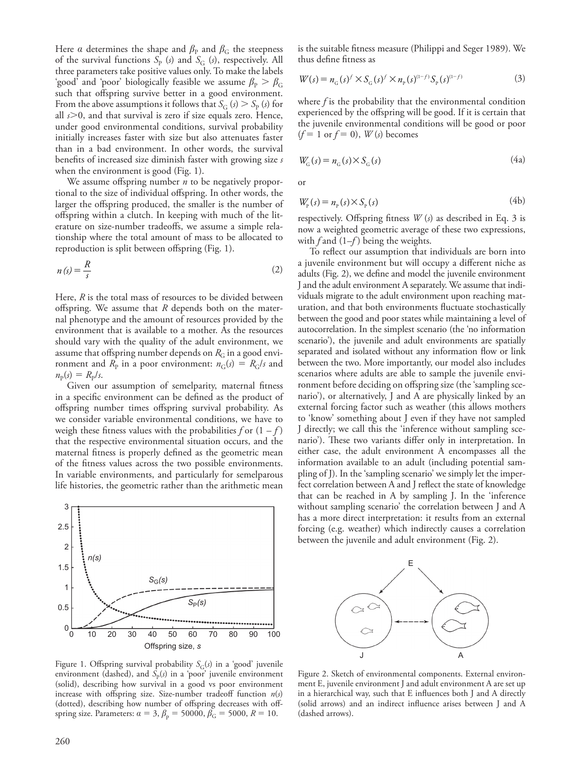Here *a* determines the shape and  $\beta_P$  and  $\beta_G$  the steepness of the survival functions  $S_P^{\bullet}$  (*s*) and  $S_G$  (*s*), respectively. All three parameters take positive values only. To make the labels 'good' and 'poor' biologically feasible we assume  $\beta_P > \beta_G$ such that offspring survive better in a good environment. From the above assumptions it follows that  $S_G(s) > S_p(s)$  for all  $s > 0$ , and that survival is zero if size equals zero. Hence, under good environmental conditions, survival probability initially increases faster with size but also attenuates faster than in a bad environment. In other words, the survival benefits of increased size diminish faster with growing size *s* when the environment is good (Fig. 1).

We assume offspring number *n* to be negatively proportional to the size of individual offspring. In other words, the larger the offspring produced, the smaller is the number of offspring within a clutch. In keeping with much of the literature on size-number tradeoffs, we assume a simple relationship where the total amount of mass to be allocated to reproduction is split between offspring (Fig. 1).

$$
n(s) = \frac{R}{s} \tag{2}
$$

Here, *R* is the total mass of resources to be divided between offspring. We assume that *R* depends both on the maternal phenotype and the amount of resources provided by the environment that is available to a mother. As the resources should vary with the quality of the adult environment, we assume that offspring number depends on  $R<sub>G</sub>$  in a good environment and  $R_{\rm p}$  in a poor environment:  $n_{\rm G}(s) = R_{\rm G}/s$  and  $n_{\rm p}(s) = R_{\rm p}/s$ .

Given our assumption of semelparity, maternal fitness in a specific environment can be defined as the product of offspring number times offspring survival probability. As we consider variable environmental conditions, we have to weigh these fitness values with the probabilities  $f$  or  $(1 - f)$ that the respective environmental situation occurs, and the maternal fitness is properly defined as the geometric mean of the fitness values across the two possible environments. In variable environments, and particularly for semelparous life histories, the geometric rather than the arithmetic mean



Figure 1. Offspring survival probability  $S_G(s)$  in a 'good' juvenile environment (dashed), and *S*<sub>P</sub>(*s*) in a 'poor' juvenile environment (solid), describing how survival in a good vs poor environment increase with offspring size. Size-number tradeoff function *n*(*s*) (dotted), describing how number of offspring decreases with offspring size. Parameters:  $a = 3$ ,  $\beta_p = 50000$ ,  $\beta_q = 5000$ ,  $R = 10$ .

is the suitable fitness measure (Philippi and Seger 1989). We thus define fitness as

$$
W(s) = n_G(s)^f \times S_G(s)^f \times n_P(s)^{(1-f)} S_P(s)^{(1-f)}
$$
(3)

where *f* is the probability that the environmental condition experienced by the offspring will be good. If it is certain that the juvenile environmental conditions will be good or poor  $(f=1 \text{ or } f=0)$ ,  $W(s)$  becomes

$$
W_{\mathcal{G}}(s) = n_{\mathcal{G}}(s) \times S_{\mathcal{G}}(s)
$$
\n<sup>(4a)</sup>

or

$$
W_{\rm p}(s) = n_{\rm p}(s) \times S_{\rm p}(s) \tag{4b}
$$

respectively. Offspring fitness *W* (*s*) as described in Eq. 3 is now a weighted geometric average of these two expressions, with  $f$  and  $(1-f)$  being the weights.

To reflect our assumption that individuals are born into a juvenile environment but will occupy a different niche as adults (Fig. 2), we define and model the juvenile environment J and the adult environment A separately. We assume that individuals migrate to the adult environment upon reaching maturation, and that both environments fluctuate stochastically between the good and poor states while maintaining a level of autocorrelation. In the simplest scenario (the 'no information scenario'), the juvenile and adult environments are spatially separated and isolated without any information flow or link between the two. More importantly, our model also includes scenarios where adults are able to sample the juvenile environment before deciding on offspring size (the 'sampling scenario'), or alternatively, J and A are physically linked by an external forcing factor such as weather (this allows mothers to 'know' something about J even if they have not sampled J directly; we call this the 'inference without sampling scenario'). These two variants differ only in interpretation. In either case, the adult environment A encompasses all the information available to an adult (including potential sampling of J). In the 'sampling scenario' we simply let the imperfect correlation between A and J reflect the state of knowledge that can be reached in A by sampling J. In the 'inference without sampling scenario' the correlation between J and A has a more direct interpretation: it results from an external forcing (e.g. weather) which indirectly causes a correlation between the juvenile and adult environment (Fig. 2).



Figure 2. Sketch of environmental components. External environment E, juvenile environment J and adult environment A are set up in a hierarchical way, such that E influences both J and A directly (solid arrows) and an indirect influence arises between J and A (dashed arrows).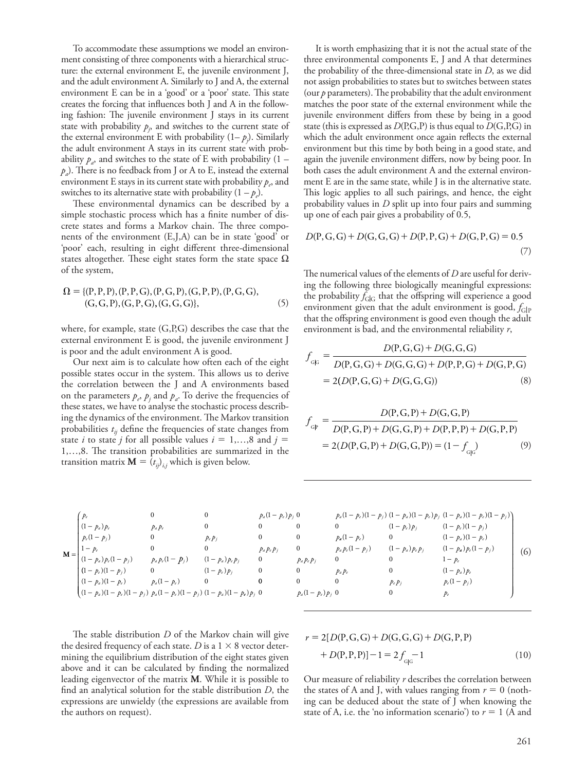To accommodate these assumptions we model an environment consisting of three components with a hierarchical structure: the external environment E, the juvenile environment J, and the adult environment A. Similarly to J and A, the external environment E can be in a 'good' or a 'poor' state. This state creates the forcing that influences both J and A in the following fashion: The juvenile environment J stays in its current state with probability  $p_j$ , and switches to the current state of the external environment E with probability  $(1-p_j)$ . Similarly the adult environment A stays in its current state with probability  $p_a$ , and switches to the state of E with probability  $(1$  $p_a$ ). There is no feedback from J or A to E, instead the external environment E stays in its current state with probability *pe* , and switches to its alternative state with probability  $(1-p_e)$ .

These environmental dynamics can be described by a simple stochastic process which has a finite number of discrete states and forms a Markov chain. The three components of the environment (E,J,A) can be in state 'good' or 'poor' each, resulting in eight different three-dimensional states altogether. These eight states form the state space  $\Omega$ of the system,

$$
\Omega = \{ (P, P, P), (P, P, G), (P, G, P), (G, P, P), (P, G, G), (G, G, P), (G, P, G), (G, G, G) \},\tag{5}
$$

where, for example, state (G,P,G) describes the case that the external environment E is good, the juvenile environment J is poor and the adult environment A is good.

Our next aim is to calculate how often each of the eight possible states occur in the system. This allows us to derive the correlation between the J and A environments based on the parameters  $p_e$ ,  $p_j$  and  $p_a$ . To derive the frequencies of these states, we have to analyse the stochastic process describing the dynamics of the environment. The Markov transition probabilities *tij* define the frequencies of state changes from state *i* to state *j* for all possible values  $i = 1,...,8$  and  $j =$ 1,…,8. The transition probabilities are summarized in the transition matrix  $\mathbf{M} = (t_{ij})_{i,j}$  which is given below.

*e j e j*

 $(1 - p_a)(1 - p_e)$   $p_a(1 - p_e)$  $(1 - p_a)(1 - p_e)$   $p_a(1 - p_e)$  0

 $-p_a(1-p_e)$   $p_a(1-p_e)$ 

It is worth emphasizing that it is not the actual state of the three environmental components E, J and A that determines the probability of the three-dimensional state in *D*, as we did not assign probabilities to states but to switches between states (our *p* parameters). The probability that the adult environment matches the poor state of the external environment while the juvenile environment differs from these by being in a good state (this is expressed as *D*(P,G,P) is thus equal to *D*(G,P,G) in which the adult environment once again reflects the external environment but this time by both being in a good state, and again the juvenile environment differs, now by being poor. In both cases the adult environment A and the external environment E are in the same state, while J is in the alternative state. This logic applies to all such pairings, and hence, the eight probability values in *D* split up into four pairs and summing up one of each pair gives a probability of 0.5,

$$
D(P, G, G) + D(G, G, G) + D(P, P, G) + D(G, P, G) = 0.5
$$
\n(7)

The numerical values of the elements of *D* are useful for deriving the following three biologically meaningful expressions: the probability  $f_{\text{GG}}$  that the offspring will experience a good environment given that the adult environment is good,  $f_{\text{Clp}}$ that the offspring environment is good even though the adult environment is bad, and the environmental reliability *r*,

$$
f_{G|G} = \frac{D(P, G, G) + D(G, G, G)}{D(P, G, G) + D(G, G, G) + D(P, P, G) + D(G, P, G)}
$$
  
= 2(D(P, G, G) + D(G, G, G)) (8)

$$
f_{\text{GP}} = \frac{D(\text{P}, \text{G}, \text{P}) + D(\text{G}, \text{G}, \text{P})}{D(\text{P}, \text{G}, \text{P}) + D(\text{G}, \text{G}, \text{P}) + D(\text{P}, \text{P}, \text{P}) + D(\text{G}, \text{P}, \text{P})} = 2(D(\text{P}, \text{G}, \text{P}) + D(\text{G}, \text{G}, \text{P})) = (1 - f_{\text{c}|_{\text{G}}}) \tag{9}
$$

$$
\begin{pmatrix}\n p_e & 0 & 0 & p_a(1-p_e)p_j & 0 & p_a(1-p_e)(1-p_j) & (1-p_a)(1-p_e)p_j & (1-p_a)(1-p_i)(1-p_j) \\
(1-p_a)p_e & p_a p_e & 0 & 0 & 0 & (1-p_e)p_j & (1-p_e)(1-p_j) \\
p_e(1-p_j) & 0 & p_e p_j & 0 & p_a(1-p_e) & 0 & (1-p_e)(1-p_i) \\
1-p_e & 0 & 0 & p_a p_e p_j & 0 & p_a p_e(1-p_j) & (1-p_a)p_e p_j & (1-p_a)(1-p_i) \\
(1-p_a)p_e(1-p_j) & p_a p_e(1-p_j) & (1-p_a)p_e p_j & 0 & p_a p_e p_j & 0 & 0 & 1-p_e \\
(1-p_e)(1-p_j) & 0 & (1-p_e)p_j & 0 & p_a p_e & 0 & (1-p_a)p_e \\
(1-p_a)(1-p_e) & p_a(1-p_e) & 0 & 0 & 0 & p_e p_j & 0 & p_e(1-p_j) \\
(1-p_a)(1-p_e)(1-p_j) & p_a(1-p_e)(1-p_j) & (1-p_a)(1-p_e)p_j & 0 & p_a(1-p_e)p_j & 0 & p_e\n\end{pmatrix}
$$

The stable distribution *D* of the Markov chain will give the desired frequency of each state. *D* is a  $1 \times 8$  vector determining the equilibrium distribution of the eight states given above and it can be calculated by finding the normalized leading eigenvector of the matrix **M**. While it is possible to find an analytical solution for the stable distribution *D*, the expressions are unwieldy (the expressions are available from the authors on request).

**M** =

ſ

 $\begin{array}{c} \begin{array}{c} \begin{array}{c} \begin{array}{c} \begin{array}{c} \end{array} \\ \end{array} \\ \begin{array}{c} \end{array} \\ \end{array} \\ \begin{array}{c} \end{array} \end{array} \end{array} \end{array}$ 

−

$$
r = 2[D(P, G, G) + D(G, G, G) + D(G, P, P)]
$$

$$
+ D(P, P, P)] - 1 = 2f_{G|G} - 1 \tag{10}
$$

Our measure of reliability *r* describes the correlation between the states of A and J, with values ranging from  $r = 0$  (nothing can be deduced about the state of J when knowing the state of A, i.e. the 'no information scenario') to  $r = 1$  (A and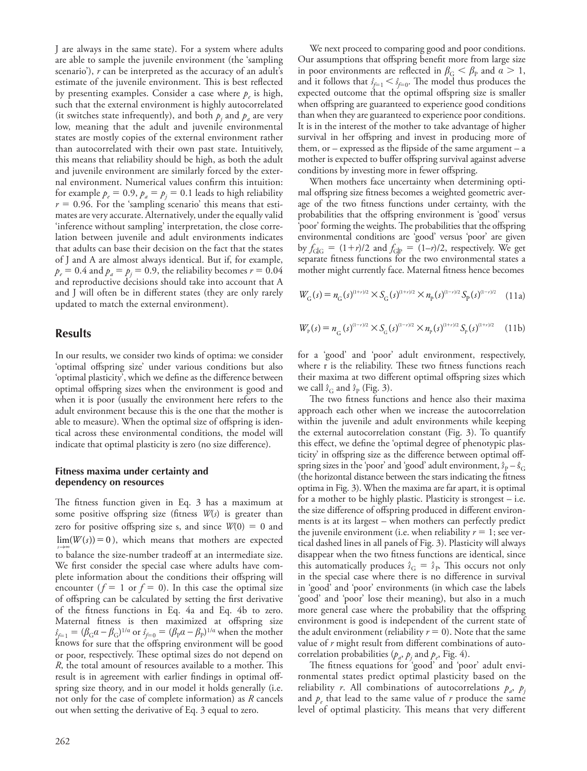J are always in the same state). For a system where adults are able to sample the juvenile environment (the 'sampling scenario'), *r* can be interpreted as the accuracy of an adult's estimate of the juvenile environment. This is best reflected by presenting examples. Consider a case where  $p_e$  is high, such that the external environment is highly autocorrelated (it switches state infrequently), and both  $p_j$  and  $p_a$  are very low, meaning that the adult and juvenile environmental states are mostly copies of the external environment rather than autocorrelated with their own past state. Intuitively, this means that reliability should be high, as both the adult and juvenile environment are similarly forced by the external environment. Numerical values confirm this intuition: for example  $p_e = 0.9$ ,  $p_a = p_i = 0.1$  leads to high reliability  $r = 0.96$ . For the 'sampling scenario' this means that estimates are very accurate. Alternatively, under the equally valid 'inference without sampling' interpretation, the close correlation between juvenile and adult environments indicates that adults can base their decision on the fact that the states of J and A are almost always identical. But if, for example,  $p_e = 0.4$  and  $p_a = p_j = 0.9$ , the reliability becomes  $r = 0.04$ and reproductive decisions should take into account that A and J will often be in different states (they are only rarely updated to match the external environment).

## **Results**

In our results, we consider two kinds of optima: we consider 'optimal offspring size' under various conditions but also 'optimal plasticity', which we define as the difference between optimal offspring sizes when the environment is good and when it is poor (usually the environment here refers to the adult environment because this is the one that the mother is able to measure). When the optimal size of offspring is identical across these environmental conditions, the model will indicate that optimal plasticity is zero (no size difference).

#### **Fitness maxima under certainty and dependency on resources**

The fitness function given in Eq. 3 has a maximum at some positive offspring size (fitness *W*(*s*) is greater than zero for positive offspring size s, and since  $W(0) = 0$  and  $\lim_{s \to \infty} (W(s)) = 0$ , which means that mothers are expected to balance the size-number tradeoff at an intermediate size. We first consider the special case where adults have complete information about the conditions their offspring will encounter  $(f = 1 \text{ or } f = 0)$ . In this case the optimal size of offspring can be calculated by setting the first derivative of the fitness functions in Eq. 4a and Eq. 4b to zero. Maternal fitness is then maximized at offspring size  $\hat{s}_{f=1} = (\beta_G a - \beta_G)^{1/a}$  or  $\hat{s}_{f=0} = (\beta_P a - \beta_P)^{1/a}$  when the mother knows for sure that the offspring environment will be good or poor, respectively. These optimal sizes do not depend on *R*, the total amount of resources available to a mother. This result is in agreement with earlier findings in optimal offspring size theory, and in our model it holds generally (i.e. not only for the case of complete information) as *R* cancels out when setting the derivative of Eq. 3 equal to zero.

We next proceed to comparing good and poor conditions. Our assumptions that offspring benefit more from large size in poor environments are reflected in  $\beta_G < \beta_P$  and  $\alpha > 1$ , and it follows that  $\hat{s}_{f=1} < \hat{s}_{f=0}$ . The model thus produces the expected outcome that the optimal offspring size is smaller when offspring are guaranteed to experience good conditions than when they are guaranteed to experience poor conditions. It is in the interest of the mother to take advantage of higher survival in her offspring and invest in producing more of them, or – expressed as the flipside of the same argument – a mother is expected to buffer offspring survival against adverse conditions by investing more in fewer offspring.

When mothers face uncertainty when determining optimal offspring size fitness becomes a weighted geometric average of the two fitness functions under certainty, with the probabilities that the offspring environment is 'good' versus 'poor' forming the weights. The probabilities that the offspring environmental conditions are 'good' versus 'poor' are given by  $f_{\text{GIG}} = (1+r)/2$  and  $f_{\text{GIP}} = (1-r)/2$ , respectively. We get separate fitness functions for the two environmental states a mother might currently face. Maternal fitness hence becomes

$$
W_{\mathcal{G}}(s) = n_{\mathcal{G}}(s)^{(1+r)/2} \times S_{\mathcal{G}}(s)^{(1+r)/2} \times n_{\mathcal{P}}(s)^{(1-r)/2} S_{\mathcal{P}}(s)^{(1-r)/2}
$$
(11a)

$$
W_{\rm p}(s) = n_{\rm G}(s)^{(1-r)/2} \times S_{\rm G}(s)^{(1-r)/2} \times n_{\rm p}(s)^{(1+r)/2} S_{\rm p}(s)^{(1+r)/2} \tag{11b}
$$

for a 'good' and 'poor' adult environment, respectively, where r is the reliability. These two fitness functions reach their maxima at two different optimal offspring sizes which we call  $\hat{s}_G$  and  $\hat{s}_P$  (Fig. 3).

The two fitness functions and hence also their maxima approach each other when we increase the autocorrelation within the juvenile and adult environments while keeping the external autocorrelation constant (Fig. 3). To quantify this effect, we define the 'optimal degree of phenotypic plasticity' in offspring size as the difference between optimal offspring sizes in the 'poor' and 'good' adult environment,  $\hat{s}_P - \hat{s}_G$ (the horizontal distance between the stars indicating the fitness optima in Fig. 3). When the maxima are far apart, it is optimal for a mother to be highly plastic. Plasticity is strongest – i.e. the size difference of offspring produced in different environments is at its largest – when mothers can perfectly predict the juvenile environment (i.e. when reliability  $r = 1$ ; see vertical dashed lines in all panels of Fig. 3). Plasticity will always disappear when the two fitness functions are identical, since this automatically produces  $\hat{s}_G = \hat{s}_P$ . This occurs not only in the special case where there is no difference in survival in 'good' and 'poor' environments (in which case the labels 'good' and 'poor' lose their meaning), but also in a much more general case where the probability that the offspring environment is good is independent of the current state of the adult environment (reliability  $r = 0$ ). Note that the same value of *r* might result from different combinations of autocorrelation probabilities  $(p_a, p_j \text{ and } p_e, \text{ Fig. 4}).$ 

The fitness equations for 'good' and 'poor' adult environmental states predict optimal plasticity based on the reliability *r*. All combinations of autocorrelations  $p_a$ ,  $p_j$ and  $p_e$  that lead to the same value of  $r$  produce the same level of optimal plasticity. This means that very different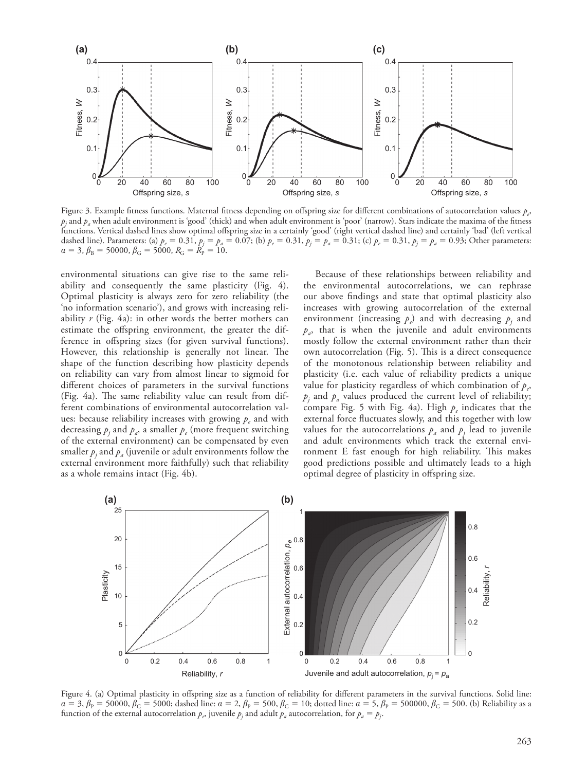

Figure 3. Example fitness functions. Maternal fitness depending on offspring size for different combinations of autocorrelation values *pe* ,  $p_j$  and  $p_a$  when adult environment is 'good' (thick) and when adult environment is 'poor' (narrow). Stars indicate the maxima of the fitness functions. Vertical dashed lines show optimal offspring size in a certainly 'good' (right vertical dashed line) and certainly 'bad' (left vertical dashed line). Parameters: (a)  $p_e = 0.31$ ,  $p_j = p_a = 0.07$ ; (b)  $p_e = 0.31$ ,  $p_j = p_a = 0.31$ ; (c)  $p_e = 0.31$ ,  $p_j = p_a = 0.93$ ; Other parameters:  $a = 3, \beta_B = 50000, \beta_G = 5000, R_G = R_P^{\prime} = 10.$ 

environmental situations can give rise to the same reliability and consequently the same plasticity (Fig. 4). Optimal plasticity is always zero for zero reliability (the 'no information scenario'), and grows with increasing reliability *r* (Fig. 4a): in other words the better mothers can estimate the offspring environment, the greater the difference in offspring sizes (for given survival functions). However, this relationship is generally not linear. The shape of the function describing how plasticity depends on reliability can vary from almost linear to sigmoid for different choices of parameters in the survival functions (Fig. 4a). The same reliability value can result from different combinations of environmental autocorrelation values: because reliability increases with growing  $p_e$  and with decreasing  $p_j$  and  $p_a$ , a smaller  $p_e$  (more frequent switching of the external environment) can be compensated by even smaller  $p_j$  and  $p_a$  (juvenile or adult environments follow the external environment more faithfully) such that reliability as a whole remains intact (Fig. 4b).

Because of these relationships between reliability and the environmental autocorrelations, we can rephrase our above findings and state that optimal plasticity also increases with growing autocorrelation of the external environment (increasing  $p_e$ ) and with decreasing  $p_j$  and  $p_a$ , that is when the juvenile and adult environments mostly follow the external environment rather than their own autocorrelation (Fig. 5). This is a direct consequence of the monotonous relationship between reliability and plasticity (i.e. each value of reliability predicts a unique value for plasticity regardless of which combination of  $p_e$ ,  $p_j$  and  $p_a$  values produced the current level of reliability; compare Fig. 5 with Fig. 4a). High  $p_e$  indicates that the external force fluctuates slowly, and this together with low values for the autocorrelations  $p_a$  and  $p_j$  lead to juvenile and adult environments which track the external environment E fast enough for high reliability. This makes good predictions possible and ultimately leads to a high optimal degree of plasticity in offspring size.



Figure 4. (a) Optimal plasticity in offspring size as a function of reliability for different parameters in the survival functions. Solid line:  $a = 3, \beta_P = 50000, \beta_G = 5000$ ; dashed line:  $a = 2, \beta_P = 500, \beta_G = 10$ ; dotted line:  $a = 5, \beta_P = 500000, \beta_G = 500$ . (b) Reliability as a function of the external autocorrelation  $p_e$ , juvenile  $p_j$  and adult  $p_a$  autocorrelation, for  $p_a = p_j$ .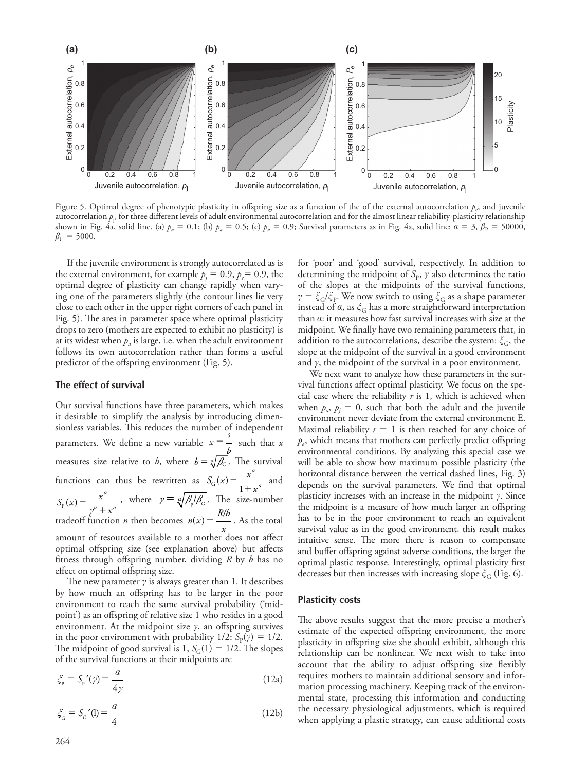

Figure 5. Optimal degree of phenotypic plasticity in offspring size as a function of the of the external autocorrelation  $p_e$ , and juvenile autocorrelation  $p_j$ , for three different levels of adult environmental autocorrelation and for the almost linear reliability-plasticity relationship shown in Fig.  $\hat{4}a$ , solid line. (a)  $p_a = 0.1$ ; (b)  $p_a = 0.5$ ; (c)  $p_a = 0.9$ ; Survival parameters as in Fig. 4a, solid line:  $a = 3$ ,  $\beta_p = 50000$ ,  $\beta$ <sub>G</sub> = 5000.

If the juvenile environment is strongly autocorrelated as is the external environment, for example  $p_j = 0.9$ ,  $p_e = 0.9$ , the optimal degree of plasticity can change rapidly when varying one of the parameters slightly (the contour lines lie very close to each other in the upper right corners of each panel in Fig. 5). The area in parameter space where optimal plasticity drops to zero (mothers are expected to exhibit no plasticity) is at its widest when  $p_a$  is large, i.e. when the adult environment follows its own autocorrelation rather than forms a useful predictor of the offspring environment (Fig. 5).

### **The effect of survival**

Our survival functions have three parameters, which makes it desirable to simplify the analysis by introducing dimensionless variables. This reduces the number of independent parameters. We define a new variable  $x = \frac{s}{b}$  such that *x* measures size relative to *b*, where  $b = \sqrt[\alpha]{\beta_G}$ . The survival functions can thus be rewritten as  $S_G(x) = \frac{x^a}{1 + x^a}$  and  $S_{\rm p}(x) = \frac{x^a}{y^a + x^a}$  $\gamma^a + \chi^a$ , where  $\gamma = \frac{q}{2} \beta_p / \beta_c$ . The size-number tradeoff function *n* then becomes  $n(x) = \frac{R/b}{x}$ . As the total amount of resources available to a mother does not affect optimal offspring size (see explanation above) but affects fitness through offspring number, dividing *R* by *b* has no effect on optimal offspring size.

The new parameter  $\gamma$  is always greater than 1. It describes by how much an offspring has to be larger in the poor environment to reach the same survival probability ('midpoint') as an offspring of relative size 1 who resides in a good environment. At the midpoint size  $\gamma$ , an offspring survives in the poor environment with probability  $1/2$ :  $S_p(\gamma) = 1/2$ . The midpoint of good survival is 1,  $S<sub>G</sub>(1) = 1/2$ . The slopes of the survival functions at their midpoints are

$$
\zeta_{\rm p} = S_{\rm p}'(\gamma) = \frac{a}{4\gamma} \tag{12a}
$$

$$
\xi_{\rm G} = S_{\rm G}^{\ \prime}(l) = \frac{a}{4} \tag{12b}
$$

for 'poor' and 'good' survival, respectively. In addition to determining the midpoint of  $S_p$ ,  $\gamma$  also determines the ratio of the slopes at the midpoints of the survival functions,  $\gamma = \xi_G/\xi_P$ . We now switch to using  $\xi_G$  as a shape parameter instead of  $a$ , as  $\xi$ <sup>G</sup> has a more straightforward interpretation than *a*: it measures how fast survival increases with size at the midpoint. We finally have two remaining parameters that, in addition to the autocorrelations, describe the system:  $\zeta_{\rm G}$ , the slope at the midpoint of the survival in a good environment and *y*, the midpoint of the survival in a poor environment.

We next want to analyze how these parameters in the survival functions affect optimal plasticity. We focus on the special case where the reliability *r* is 1, which is achieved when when  $p_a$ ,  $p_j = 0$ , such that both the adult and the juvenile environment never deviate from the external environment E. Maximal reliability  $r = 1$  is then reached for any choice of  $p_e$ , which means that mothers can perfectly predict offspring environmental conditions. By analyzing this special case we will be able to show how maximum possible plasticity (the horizontal distance between the vertical dashed lines, Fig. 3) depends on the survival parameters. We find that optimal plasticity increases with an increase in the midpoint *g*. Since the midpoint is a measure of how much larger an offspring has to be in the poor environment to reach an equivalent survival value as in the good environment, this result makes intuitive sense. The more there is reason to compensate and buffer offspring against adverse conditions, the larger the optimal plastic response. Interestingly, optimal plasticity first decreases but then increases with increasing slope  $\zeta$ <sup>G</sup> (Fig. 6).

#### **Plasticity costs**

The above results suggest that the more precise a mother's estimate of the expected offspring environment, the more plasticity in offspring size she should exhibit, although this relationship can be nonlinear. We next wish to take into account that the ability to adjust offspring size flexibly requires mothers to maintain additional sensory and information processing machinery. Keeping track of the environmental state, processing this information and conducting the necessary physiological adjustments, which is required when applying a plastic strategy, can cause additional costs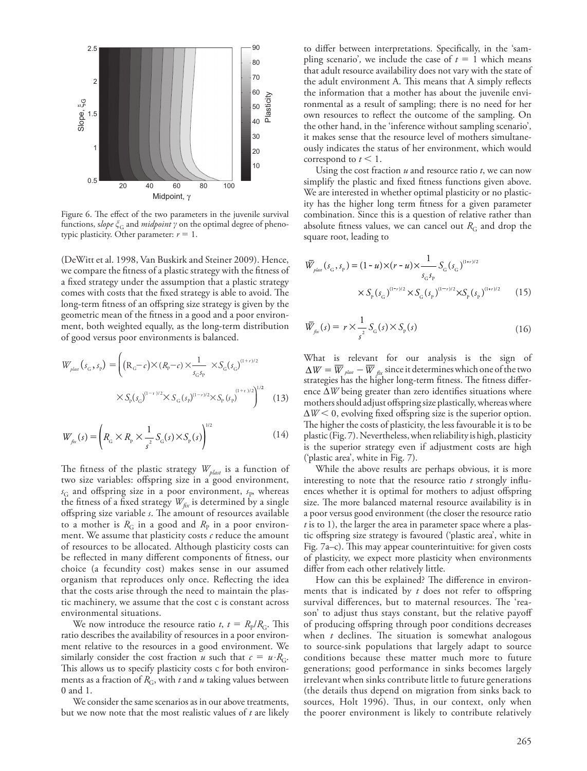

Figure 6. The effect of the two parameters in the juvenile survival functions, slope  $\xi_G$  and *midpoint*  $\gamma$  on the optimal degree of phenotypic plasticity. Other parameter:  $r = 1$ .

(DeWitt et al. 1998, Van Buskirk and Steiner 2009). Hence, we compare the fitness of a plastic strategy with the fitness of a fixed strategy under the assumption that a plastic strategy comes with costs that the fixed strategy is able to avoid. The long-term fitness of an offspring size strategy is given by the geometric mean of the fitness in a good and a poor environment, both weighted equally, as the long-term distribution of good versus poor environments is balanced.

$$
W_{\text{plate}}(s_{\text{G}}, s_{\text{p}}) = \left( (R_{\text{G}} - c) \times (R_{\text{p}} - c) \times \frac{1}{s_{\text{G}} s_{\text{p}}} \times S_{\text{G}}(s_{\text{G}})^{(1+r)/2} \right)
$$

$$
\times S_{\text{p}}(s_{\text{G}})^{(1+r)/2} \times S_{\text{G}}(s_{\text{p}})^{(1+r)/2} \times S_{\text{p}}(s_{\text{p}})^{(1+r)/2} \right)^{1/2} \tag{13}
$$

$$
W_{f_{\text{Rx}}}(s) = \left(R_{\text{G}} \times R_{\text{p}} \times \frac{1}{s^2} S_{\text{G}}(s) \times S_{\text{p}}(s)\right)^{1/2} \tag{14}
$$

The fitness of the plastic strategy  $W_{\text{plast}}$  is a function of two size variables: offspring size in a good environment,  $s_G$  and offspring size in a poor environment,  $s_P$ , whereas the fitness of a fixed strategy  $W_{fix}$  is determined by a single offspring size variable *s*. The amount of resources available to a mother is  $R<sub>G</sub>$  in a good and  $R<sub>p</sub>$  in a poor environment. We assume that plasticity costs *c* reduce the amount of resources to be allocated. Although plasticity costs can be reflected in many different components of fitness, our choice (a fecundity cost) makes sense in our assumed organism that reproduces only once. Reflecting the idea that the costs arise through the need to maintain the plastic machinery, we assume that the cost c is constant across environmental situations.

We now introduce the resource ratio *t*,  $t = R_{p}/R_{G}$ . This ratio describes the availability of resources in a poor environment relative to the resources in a good environment. We similarly consider the cost fraction *u* such that  $c = u \cdot R_C$ . This allows us to specify plasticity costs c for both environments as a fraction of  $R_G$ , with  $t$  and  $u$  taking values between 0 and 1.

We consider the same scenarios as in our above treatments, but we now note that the most realistic values of *t* are likely to differ between interpretations. Specifically, in the 'sampling scenario<sup>'</sup>, we include the case of  $t = 1$  which means that adult resource availability does not vary with the state of the adult environment A. This means that A simply reflects the information that a mother has about the juvenile environmental as a result of sampling; there is no need for her own resources to reflect the outcome of the sampling. On the other hand, in the 'inference without sampling scenario', it makes sense that the resource level of mothers simultaneously indicates the status of her environment, which would correspond to  $t < 1$ .

Using the cost fraction *u* and resource ratio *t*, we can now simplify the plastic and fixed fitness functions given above. We are interested in whether optimal plasticity or no plasticity has the higher long term fitness for a given parameter combination. Since this is a question of relative rather than absolute fitness values, we can cancel out  $R<sub>G</sub>$  and drop the square root, leading to

$$
\overline{W}_{\text{plust}}(s_{\text{G}}, s_{\text{p}}) = (1 - u) \times (r - u) \times \frac{1}{s_{\text{G}} s_{\text{p}}} S_{\text{G}}(s_{\text{G}})^{(1 + r)/2} \times S_{\text{p}}(s_{\text{G}})^{(1 - r)/2} \times S_{\text{g}}(s_{\text{p}})^{(1 - r)/2} \times S_{\text{p}}(s_{\text{p}})^{(1 + r)/2} \tag{15}
$$

$$
\overline{W}_{f_{\text{fix}}}(s) = r \times \frac{1}{s^2} S_{\text{G}}(s) \times S_{\text{p}}(s)
$$
\n(16)

What is relevant for our analysis is the sign of  $\Delta W = \overline{W}_{\text{plast}} - \overline{W}_{\text{fix}}$  since it determines which one of the two strategies has the higher long-term fitness. The fitness difference  $\Delta W$  being greater than zero identifies situations where mothers should adjust offspring size plastically, whereas where  $\Delta W$  < 0, evolving fixed offspring size is the superior option. The higher the costs of plasticity, the less favourable it is to be plastic (Fig. 7). Nevertheless, when reliability is high, plasticity is the superior strategy even if adjustment costs are high ('plastic area', white in Fig. 7).

While the above results are perhaps obvious, it is more interesting to note that the resource ratio *t* strongly influences whether it is optimal for mothers to adjust offspring size. The more balanced maternal resource availability is in a poor versus good environment (the closer the resource ratio *t* is to 1), the larger the area in parameter space where a plastic offspring size strategy is favoured ('plastic area', white in Fig. 7a–c). This may appear counterintuitive: for given costs of plasticity, we expect more plasticity when environments differ from each other relatively little.

How can this be explained? The difference in environments that is indicated by *t* does not refer to offspring survival differences, but to maternal resources. The 'reason' to adjust thus stays constant, but the relative payoff of producing offspring through poor conditions decreases when *t* declines. The situation is somewhat analogous to source-sink populations that largely adapt to source conditions because these matter much more to future generations; good performance in sinks becomes largely irrelevant when sinks contribute little to future generations (the details thus depend on migration from sinks back to sources, Holt 1996). Thus, in our context, only when the poorer environment is likely to contribute relatively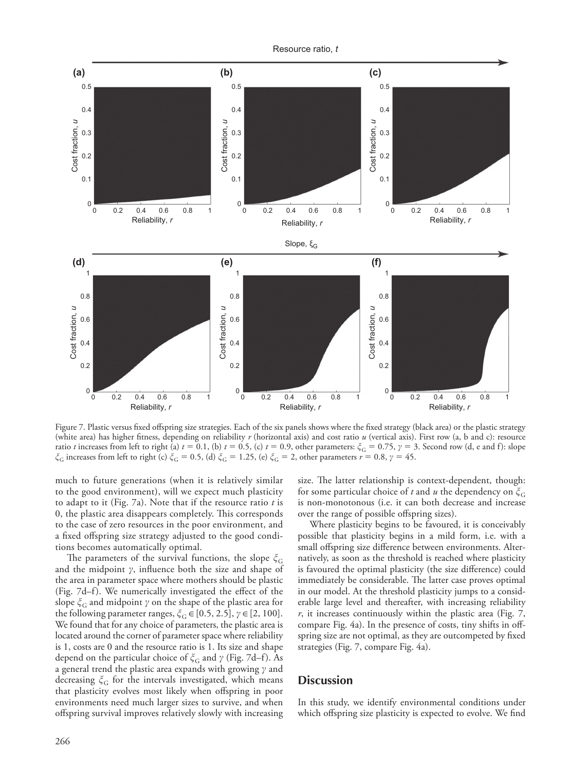

Figure 7. Plastic versus fixed offspring size strategies. Each of the six panels shows where the fixed strategy (black area) or the plastic strategy (white area) has higher fitness, depending on reliability *r* (horizontal axis) and cost ratio *u* (vertical axis). First row (a, b and c): resource ratio *t* increases from left to right (a)  $t = 0.1$ , (b)  $t = 0.5$ , (c)  $t = 0.9$ , other parameters:  $\zeta$ <sup>G</sup> = 0.75,  $\gamma$  = 3. Second row (d, e and f): slope  $\zeta$ <sup>G</sup> increases from left to right (c)  $\zeta$ <sup>G</sup> = 0.5, (d)  $\zeta$ <sup>G</sup> = 1.25, (e)  $\zeta$ <sup>G</sup> = 2, other parameters *r* = 0.8, *y* = 45.

much to future generations (when it is relatively similar to the good environment), will we expect much plasticity to adapt to it (Fig. 7a). Note that if the resource ratio *t* is 0, the plastic area disappears completely. This corresponds to the case of zero resources in the poor environment, and a fixed offspring size strategy adjusted to the good conditions becomes automatically optimal.

The parameters of the survival functions, the slope  $\zeta_G$ and the midpoint  $\gamma$ , influence both the size and shape of the area in parameter space where mothers should be plastic (Fig. 7d–f). We numerically investigated the effect of the slope  $\zeta_G$  and midpoint  $\gamma$  on the shape of the plastic area for the following parameter ranges,  $\zeta_G \in [0.5, 2.5]$ ,  $\gamma \in [2, 100]$ . We found that for any choice of parameters, the plastic area is located around the corner of parameter space where reliability is 1, costs are 0 and the resource ratio is 1. Its size and shape depend on the particular choice of  $\zeta_G$  and  $\gamma$  (Fig. 7d–f). As a general trend the plastic area expands with growing *g* and decreasing  $\zeta$ <sup>G</sup> for the intervals investigated, which means that plasticity evolves most likely when offspring in poor environments need much larger sizes to survive, and when offspring survival improves relatively slowly with increasing size. The latter relationship is context-dependent, though: for some particular choice of *t* and *u* the dependency on  $\zeta_G$ is non-monotonous (i.e. it can both decrease and increase over the range of possible offspring sizes).

Where plasticity begins to be favoured, it is conceivably possible that plasticity begins in a mild form, i.e. with a small offspring size difference between environments. Alternatively, as soon as the threshold is reached where plasticity is favoured the optimal plasticity (the size difference) could immediately be considerable. The latter case proves optimal in our model. At the threshold plasticity jumps to a considerable large level and thereafter, with increasing reliability *r*, it increases continuously within the plastic area (Fig. 7, compare Fig. 4a). In the presence of costs, tiny shifts in offspring size are not optimal, as they are outcompeted by fixed strategies (Fig. 7, compare Fig. 4a).

## **Discussion**

In this study, we identify environmental conditions under which offspring size plasticity is expected to evolve. We find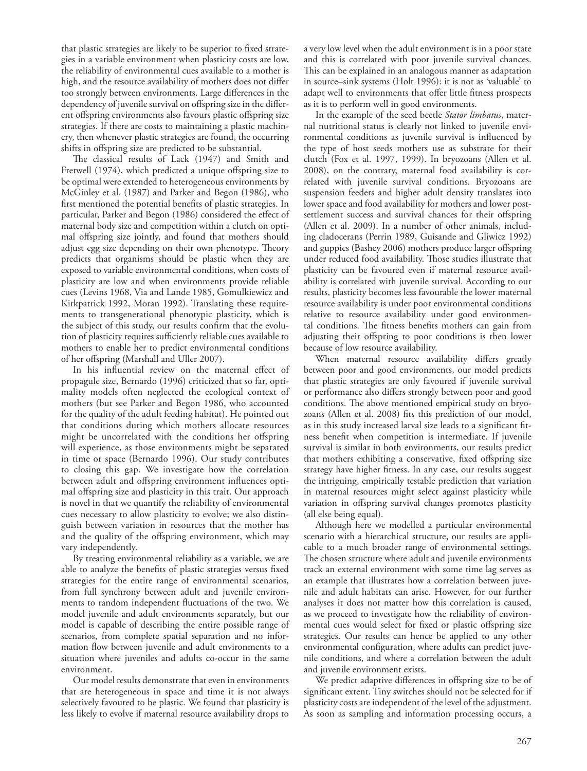that plastic strategies are likely to be superior to fixed strategies in a variable environment when plasticity costs are low, the reliability of environmental cues available to a mother is high, and the resource availability of mothers does not differ too strongly between environments. Large differences in the dependency of juvenile survival on offspring size in the different offspring environments also favours plastic offspring size strategies. If there are costs to maintaining a plastic machinery, then whenever plastic strategies are found, the occurring shifts in offspring size are predicted to be substantial.

The classical results of Lack (1947) and Smith and Fretwell (1974), which predicted a unique offspring size to be optimal were extended to heterogeneous environments by McGinley et al. (1987) and Parker and Begon (1986), who first mentioned the potential benefits of plastic strategies. In particular, Parker and Begon (1986) considered the effect of maternal body size and competition within a clutch on optimal offspring size jointly, and found that mothers should adjust egg size depending on their own phenotype. Theory predicts that organisms should be plastic when they are exposed to variable environmental conditions, when costs of plasticity are low and when environments provide reliable cues (Levins 1968, Via and Lande 1985, Gomulkiewicz and Kirkpatrick 1992, Moran 1992). Translating these requirements to transgenerational phenotypic plasticity, which is the subject of this study, our results confirm that the evolution of plasticity requires sufficiently reliable cues available to mothers to enable her to predict environmental conditions of her offspring (Marshall and Uller 2007).

In his influential review on the maternal effect of propagule size, Bernardo (1996) criticized that so far, optimality models often neglected the ecological context of mothers (but see Parker and Begon 1986, who accounted for the quality of the adult feeding habitat). He pointed out that conditions during which mothers allocate resources might be uncorrelated with the conditions her offspring will experience, as those environments might be separated in time or space (Bernardo 1996). Our study contributes to closing this gap. We investigate how the correlation between adult and offspring environment influences optimal offspring size and plasticity in this trait. Our approach is novel in that we quantify the reliability of environmental cues necessary to allow plasticity to evolve; we also distinguish between variation in resources that the mother has and the quality of the offspring environment, which may vary independently.

By treating environmental reliability as a variable, we are able to analyze the benefits of plastic strategies versus fixed strategies for the entire range of environmental scenarios, from full synchrony between adult and juvenile environments to random independent fluctuations of the two. We model juvenile and adult environments separately, but our model is capable of describing the entire possible range of scenarios, from complete spatial separation and no information flow between juvenile and adult environments to a situation where juveniles and adults co-occur in the same environment.

Our model results demonstrate that even in environments that are heterogeneous in space and time it is not always selectively favoured to be plastic. We found that plasticity is less likely to evolve if maternal resource availability drops to a very low level when the adult environment is in a poor state and this is correlated with poor juvenile survival chances. This can be explained in an analogous manner as adaptation in source–sink systems (Holt 1996): it is not as 'valuable' to adapt well to environments that offer little fitness prospects as it is to perform well in good environments.

In the example of the seed beetle *Stator limbatus*, maternal nutritional status is clearly not linked to juvenile environmental conditions as juvenile survival is influenced by the type of host seeds mothers use as substrate for their clutch (Fox et al. 1997, 1999). In bryozoans (Allen et al. 2008), on the contrary, maternal food availability is correlated with juvenile survival conditions. Bryozoans are suspension feeders and higher adult density translates into lower space and food availability for mothers and lower postsettlement success and survival chances for their offspring (Allen et al. 2009). In a number of other animals, including cladocerans (Perrin 1989, Guisande and Gliwicz 1992) and guppies (Bashey 2006) mothers produce larger offspring under reduced food availability. Those studies illustrate that plasticity can be favoured even if maternal resource availability is correlated with juvenile survival. According to our results, plasticity becomes less favourable the lower maternal resource availability is under poor environmental conditions relative to resource availability under good environmental conditions. The fitness benefits mothers can gain from adjusting their offspring to poor conditions is then lower because of low resource availability.

When maternal resource availability differs greatly between poor and good environments, our model predicts that plastic strategies are only favoured if juvenile survival or performance also differs strongly between poor and good conditions. The above mentioned empirical study on bryozoans (Allen et al. 2008) fits this prediction of our model, as in this study increased larval size leads to a significant fitness benefit when competition is intermediate. If juvenile survival is similar in both environments, our results predict that mothers exhibiting a conservative, fixed offspring size strategy have higher fitness. In any case, our results suggest the intriguing, empirically testable prediction that variation in maternal resources might select against plasticity while variation in offspring survival changes promotes plasticity (all else being equal).

Although here we modelled a particular environmental scenario with a hierarchical structure, our results are applicable to a much broader range of environmental settings. The chosen structure where adult and juvenile environments track an external environment with some time lag serves as an example that illustrates how a correlation between juvenile and adult habitats can arise. However, for our further analyses it does not matter how this correlation is caused, as we proceed to investigate how the reliability of environmental cues would select for fixed or plastic offspring size strategies. Our results can hence be applied to any other environmental configuration, where adults can predict juvenile conditions, and where a correlation between the adult and juvenile environment exists.

We predict adaptive differences in offspring size to be of significant extent. Tiny switches should not be selected for if plasticity costs are independent of the level of the adjustment. As soon as sampling and information processing occurs, a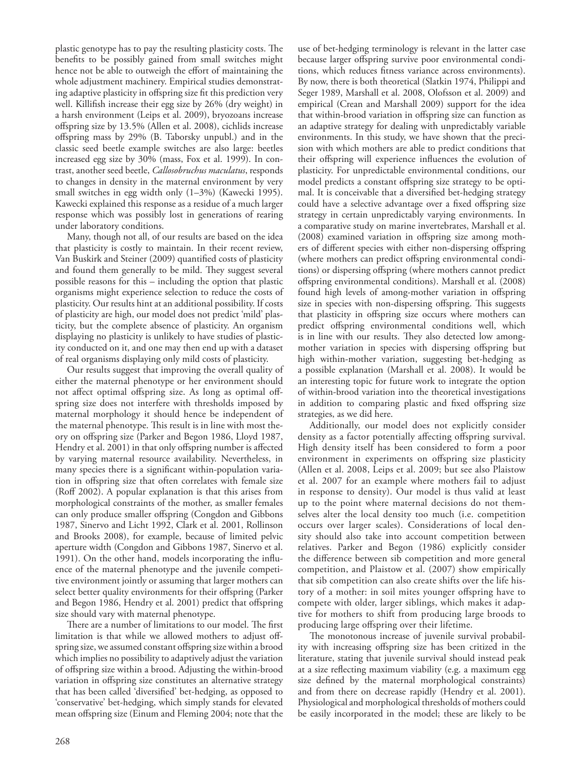plastic genotype has to pay the resulting plasticity costs. The benefits to be possibly gained from small switches might hence not be able to outweigh the effort of maintaining the whole adjustment machinery. Empirical studies demonstrating adaptive plasticity in offspring size fit this prediction very well. Killifish increase their egg size by 26% (dry weight) in a harsh environment (Leips et al. 2009), bryozoans increase offspring size by 13.5% (Allen et al. 2008), cichlids increase offspring mass by 29% (B. Taborsky unpubl.) and in the classic seed beetle example switches are also large: beetles increased egg size by 30% (mass, Fox et al. 1999). In contrast, another seed beetle, *Callosobruchus maculatus*, responds to changes in density in the maternal environment by very small switches in egg width only (1–3%) (Kawecki 1995). Kawecki explained this response as a residue of a much larger response which was possibly lost in generations of rearing under laboratory conditions.

Many, though not all, of our results are based on the idea that plasticity is costly to maintain. In their recent review, Van Buskirk and Steiner (2009) quantified costs of plasticity and found them generally to be mild. They suggest several possible reasons for this – including the option that plastic organisms might experience selection to reduce the costs of plasticity. Our results hint at an additional possibility. If costs of plasticity are high, our model does not predict 'mild' plasticity, but the complete absence of plasticity. An organism displaying no plasticity is unlikely to have studies of plasticity conducted on it, and one may then end up with a dataset of real organisms displaying only mild costs of plasticity.

Our results suggest that improving the overall quality of either the maternal phenotype or her environment should not affect optimal offspring size. As long as optimal offspring size does not interfere with thresholds imposed by maternal morphology it should hence be independent of the maternal phenotype. This result is in line with most theory on offspring size (Parker and Begon 1986, Lloyd 1987, Hendry et al. 2001) in that only offspring number is affected by varying maternal resource availability. Nevertheless, in many species there is a significant within-population variation in offspring size that often correlates with female size (Roff 2002). A popular explanation is that this arises from morphological constraints of the mother, as smaller females can only produce smaller offspring (Congdon and Gibbons 1987, Sinervo and Licht 1992, Clark et al. 2001, Rollinson and Brooks 2008), for example, because of limited pelvic aperture width (Congdon and Gibbons 1987, Sinervo et al. 1991). On the other hand, models incorporating the influence of the maternal phenotype and the juvenile competitive environment jointly or assuming that larger mothers can select better quality environments for their offspring (Parker and Begon 1986, Hendry et al. 2001) predict that offspring size should vary with maternal phenotype.

There are a number of limitations to our model. The first limitation is that while we allowed mothers to adjust offspring size, we assumed constant offspring size within a brood which implies no possibility to adaptively adjust the variation of offspring size within a brood. Adjusting the within-brood variation in offspring size constitutes an alternative strategy that has been called 'diversified' bet-hedging, as opposed to 'conservative' bet-hedging, which simply stands for elevated mean offspring size (Einum and Fleming 2004; note that the use of bet-hedging terminology is relevant in the latter case because larger offspring survive poor environmental conditions, which reduces fitness variance across environments). By now, there is both theoretical (Slatkin 1974, Philippi and Seger 1989, Marshall et al. 2008, Olofsson et al. 2009) and empirical (Crean and Marshall 2009) support for the idea that within-brood variation in offspring size can function as an adaptive strategy for dealing with unpredictably variable environments. In this study, we have shown that the precision with which mothers are able to predict conditions that their offspring will experience influences the evolution of plasticity. For unpredictable environmental conditions, our model predicts a constant offspring size strategy to be optimal. It is conceivable that a diversified bet-hedging strategy could have a selective advantage over a fixed offspring size strategy in certain unpredictably varying environments. In a comparative study on marine invertebrates, Marshall et al. (2008) examined variation in offspring size among mothers of different species with either non-dispersing offspring (where mothers can predict offspring environmental conditions) or dispersing offspring (where mothers cannot predict offspring environmental conditions). Marshall et al. (2008) found high levels of among-mother variation in offspring size in species with non-dispersing offspring. This suggests that plasticity in offspring size occurs where mothers can predict offspring environmental conditions well, which is in line with our results. They also detected low amongmother variation in species with dispersing offspring but high within-mother variation, suggesting bet-hedging as a possible explanation (Marshall et al. 2008). It would be an interesting topic for future work to integrate the option of within-brood variation into the theoretical investigations in addition to comparing plastic and fixed offspring size strategies, as we did here.

Additionally, our model does not explicitly consider density as a factor potentially affecting offspring survival. High density itself has been considered to form a poor environment in experiments on offspring size plasticity (Allen et al. 2008, Leips et al. 2009; but see also Plaistow et al. 2007 for an example where mothers fail to adjust in response to density). Our model is thus valid at least up to the point where maternal decisions do not themselves alter the local density too much (i.e. competition occurs over larger scales). Considerations of local density should also take into account competition between relatives. Parker and Begon (1986) explicitly consider the difference between sib competition and more general competition, and Plaistow et al. (2007) show empirically that sib competition can also create shifts over the life history of a mother: in soil mites younger offspring have to compete with older, larger siblings, which makes it adaptive for mothers to shift from producing large broods to producing large offspring over their lifetime.

The monotonous increase of juvenile survival probability with increasing offspring size has been critized in the literature, stating that juvenile survival should instead peak at a size reflecting maximum viability (e.g. a maximum egg size defined by the maternal morphological constraints) and from there on decrease rapidly (Hendry et al. 2001). Physiological and morphological thresholds of mothers could be easily incorporated in the model; these are likely to be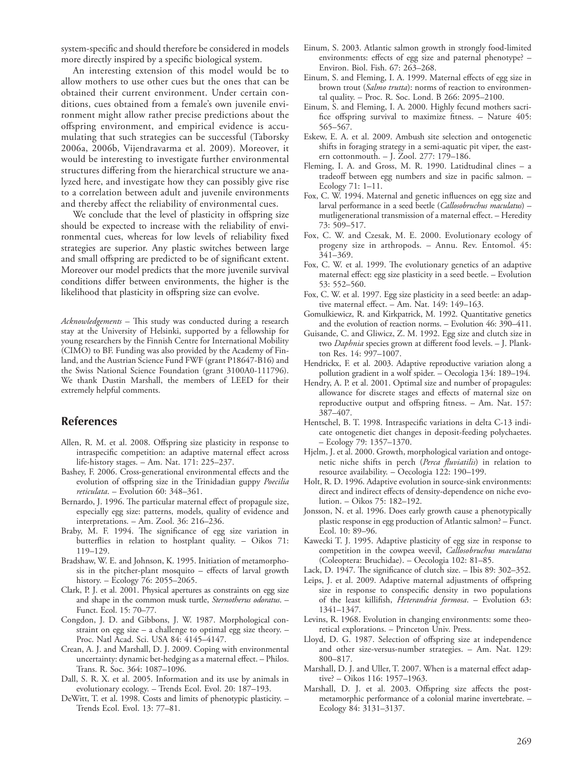system-specific and should therefore be considered in models more directly inspired by a specific biological system.

An interesting extension of this model would be to allow mothers to use other cues but the ones that can be obtained their current environment. Under certain conditions, cues obtained from a female's own juvenile environment might allow rather precise predictions about the offspring environment, and empirical evidence is accumulating that such strategies can be successful (Taborsky 2006a, 2006b, Vijendravarma et al. 2009). Moreover, it would be interesting to investigate further environmental structures differing from the hierarchical structure we analyzed here, and investigate how they can possibly give rise to a correlation between adult and juvenile environments and thereby affect the reliability of environmental cues.

We conclude that the level of plasticity in offspring size should be expected to increase with the reliability of environmental cues, whereas for low levels of reliability fixed strategies are superior. Any plastic switches between large and small offspring are predicted to be of significant extent. Moreover our model predicts that the more juvenile survival conditions differ between environments, the higher is the likelihood that plasticity in offspring size can evolve.

*Acknowledgements –* This study was conducted during a research stay at the University of Helsinki, supported by a fellowship for young researchers by the Finnish Centre for International Mobility (CIMO) to BF. Funding was also provided by the Academy of Finland, and the Austrian Science Fund FWF (grant P18647-B16) and the Swiss National Science Foundation (grant 3100A0-111796). We thank Dustin Marshall, the members of LEED for their extremely helpful comments.

## **References**

- Allen, R. M. et al. 2008. Offspring size plasticity in response to intraspecific competition: an adaptive maternal effect across life-history stages. – Am. Nat. 171: 225–237.
- Bashey, F. 2006. Cross-generational environmental effects and the evolution of offspring size in the Trinidadian guppy *Poecilia reticulata*. – Evolution 60: 348–361.
- Bernardo, J. 1996. The particular maternal effect of propagule size, especially egg size: patterns, models, quality of evidence and interpretations. – Am. Zool. 36: 216–236.
- Braby, M. F. 1994. The significance of egg size variation in butterflies in relation to hostplant quality. – Oikos 71: 119–129.
- Bradshaw, W. E. and Johnson, K. 1995. Initiation of metamorphosis in the pitcher-plant mosquito – effects of larval growth history. – Ecology 76: 2055–2065.
- Clark, P. J. et al. 2001. Physical apertures as constraints on egg size and shape in the common musk turtle, *Sternotherus odoratus*. – Funct. Ecol. 15: 70–77.
- Congdon, J. D. and Gibbons, J. W. 1987. Morphological constraint on egg size – a challenge to optimal egg size theory. – Proc. Natl Acad. Sci. USA 84: 4145–4147.
- Crean, A. J. and Marshall, D. J. 2009. Coping with environmental uncertainty: dynamic bet-hedging as a maternal effect. – Philos. Trans. R. Soc. 364: 1087–1096.
- Dall, S. R. X. et al. 2005. Information and its use by animals in evolutionary ecology. – Trends Ecol. Evol. 20: 187–193.
- DeWitt, T. et al. 1998. Costs and limits of phenotypic plasticity. Trends Ecol. Evol. 13: 77–81.
- Einum, S. 2003. Atlantic salmon growth in strongly food-limited environments: effects of egg size and paternal phenotype? – Environ. Biol. Fish. 67: 263–268.
- Einum, S. and Fleming, I. A. 1999. Maternal effects of egg size in brown trout (*Salmo trutta*): norms of reaction to environmental quality. – Proc. R. Soc. Lond. B 266: 2095–2100.
- Einum, S. and Fleming, I. A. 2000. Highly fecund mothers sacrifice offspring survival to maximize fitness. – Nature 405: 565–567.
- Eskew, E. A. et al. 2009. Ambush site selection and ontogenetic shifts in foraging strategy in a semi-aquatic pit viper, the eastern cottonmouth. – J. Zool. 277: 179–186.
- Fleming, I. A. and Gross, M. R. 1990. Latidtudinal clines a tradeoff between egg numbers and size in pacific salmon. – Ecology 71: 1–11.
- Fox, C. W. 1994. Maternal and genetic influences on egg size and larval performance in a seed beetle (*Callosobruchus maculatus*) – mutligenerational transmission of a maternal effect. – Heredity 73: 509–517.
- Fox, C. W. and Czesak, M. E. 2000. Evolutionary ecology of progeny size in arthropods. – Annu. Rev. Entomol. 45: 341–369.
- Fox, C. W. et al. 1999. The evolutionary genetics of an adaptive maternal effect: egg size plasticity in a seed beetle. – Evolution 53: 552–560.
- Fox, C. W. et al. 1997. Egg size plasticity in a seed beetle: an adaptive maternal effect. – Am. Nat. 149: 149–163.
- Gomulkiewicz, R. and Kirkpatrick, M. 1992. Quantitative genetics and the evolution of reaction norms. – Evolution 46: 390–411.
- Guisande, C. and Gliwicz, Z. M. 1992. Egg size and clutch size in two *Daphnia* species grown at different food levels. – J. Plankton Res. 14: 997–1007.
- Hendrickx, F. et al. 2003. Adaptive reproductive variation along a pollution gradient in a wolf spider. – Oecologia 134: 189–194.
- Hendry, A. P. et al. 2001. Optimal size and number of propagules: allowance for discrete stages and effects of maternal size on reproductive output and offspring fitness. – Am. Nat. 157: 387–407.
- Hentschel, B. T. 1998. Intraspecific variations in delta C-13 indicate ontogenetic diet changes in deposit-feeding polychaetes. – Ecology 79: 1357–1370.
- Hjelm, J. et al. 2000. Growth, morphological variation and ontogenetic niche shifts in perch (*Perca fluviatilis*) in relation to resource availability. – Oecologia 122: 190–199.
- Holt, R. D. 1996. Adaptive evolution in source-sink environments: direct and indirect effects of density-dependence on niche evolution. – Oikos 75: 182–192.
- Jonsson, N. et al. 1996. Does early growth cause a phenotypically plastic response in egg production of Atlantic salmon? – Funct. Ecol. 10: 89–96.
- Kawecki T. J. 1995. Adaptive plasticity of egg size in response to competition in the cowpea weevil, *Callosobruchus maculatus* (Coleoptera: Bruchidae). – Oecologia 102: 81–85.
- Lack, D. 1947. The significance of clutch size. Ibis 89: 302–352.
- Leips, J. et al. 2009. Adaptive maternal adjustments of offspring size in response to conspecific density in two populations of the least killifish, *Heterandria formosa*. – Evolution 63: 1341–1347.
- Levins, R. 1968. Evolution in changing environments: some theoretical explorations. – Princeton Univ. Press.
- Lloyd, D. G. 1987. Selection of offspring size at independence and other size-versus-number strategies. – Am. Nat. 129: 800–817.
- Marshall, D. J. and Uller, T. 2007. When is a maternal effect adaptive? – Oikos 116: 1957–1963.
- Marshall, D. J. et al. 2003. Offspring size affects the postmetamorphic performance of a colonial marine invertebrate. – Ecology 84: 3131–3137.